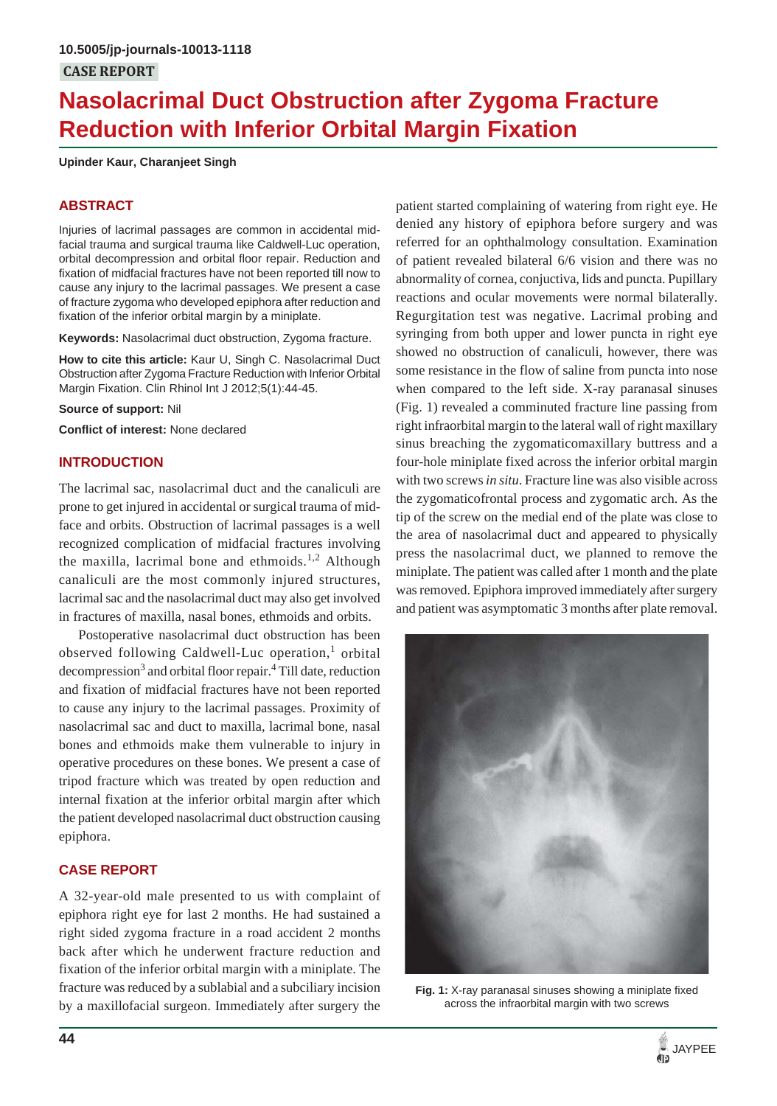# **Nasolacrimal Duct Obstruction after Zygoma Fracture Reduction with Inferior Orbital Margin Fixation**

**Upinder Kaur, Charanjeet Singh**

# **ABSTRACT**

Injuries of lacrimal passages are common in accidental midfacial trauma and surgical trauma like Caldwell-Luc operation, orbital decompression and orbital floor repair. Reduction and fixation of midfacial fractures have not been reported till now to cause any injury to the lacrimal passages. We present a case of fracture zygoma who developed epiphora after reduction and fixation of the inferior orbital margin by a miniplate.

**Keywords:** Nasolacrimal duct obstruction, Zygoma fracture.

**How to cite this article:** Kaur U, Singh C. Nasolacrimal Duct Obstruction after Zygoma Fracture Reduction with Inferior Orbital Margin Fixation. Clin Rhinol Int J 2012;5(1):44-45.

**Source of support:** Nil

**Conflict of interest:** None declared

# **INTRODUCTION**

The lacrimal sac, nasolacrimal duct and the canaliculi are prone to get injured in accidental or surgical trauma of midface and orbits. Obstruction of lacrimal passages is a well recognized complication of midfacial fractures involving the maxilla, lacrimal bone and ethmoids.<sup>1,2</sup> Although canaliculi are the most commonly injured structures, lacrimal sac and the nasolacrimal duct may also get involved in fractures of maxilla, nasal bones, ethmoids and orbits.

Postoperative nasolacrimal duct obstruction has been observed following Caldwell-Luc operation,<sup>1</sup> orbital decompression<sup>3</sup> and orbital floor repair.<sup>4</sup> Till date, reduction and fixation of midfacial fractures have not been reported to cause any injury to the lacrimal passages. Proximity of nasolacrimal sac and duct to maxilla, lacrimal bone, nasal bones and ethmoids make them vulnerable to injury in operative procedures on these bones. We present a case of tripod fracture which was treated by open reduction and internal fixation at the inferior orbital margin after which the patient developed nasolacrimal duct obstruction causing epiphora.

# **CASE REPORT**

A 32-year-old male presented to us with complaint of epiphora right eye for last 2 months. He had sustained a right sided zygoma fracture in a road accident 2 months back after which he underwent fracture reduction and fixation of the inferior orbital margin with a miniplate. The fracture was reduced by a sublabial and a subciliary incision by a maxillofacial surgeon. Immediately after surgery the

patient started complaining of watering from right eye. He denied any history of epiphora before surgery and was referred for an ophthalmology consultation. Examination of patient revealed bilateral 6/6 vision and there was no abnormality of cornea, conjuctiva, lids and puncta. Pupillary reactions and ocular movements were normal bilaterally. Regurgitation test was negative. Lacrimal probing and syringing from both upper and lower puncta in right eye showed no obstruction of canaliculi, however, there was some resistance in the flow of saline from puncta into nose when compared to the left side. X-ray paranasal sinuses (Fig. 1) revealed a comminuted fracture line passing from right infraorbital margin to the lateral wall of right maxillary sinus breaching the zygomaticomaxillary buttress and a four-hole miniplate fixed across the inferior orbital margin with two screws *in situ*. Fracture line was also visible across the zygomaticofrontal process and zygomatic arch. As the tip of the screw on the medial end of the plate was close to the area of nasolacrimal duct and appeared to physically press the nasolacrimal duct, we planned to remove the miniplate. The patient was called after 1 month and the plate was removed. Epiphora improved immediately after surgery and patient was asymptomatic 3 months after plate removal.



**Fig. 1:** X-ray paranasal sinuses showing a miniplate fixed across the infraorbital margin with two screws